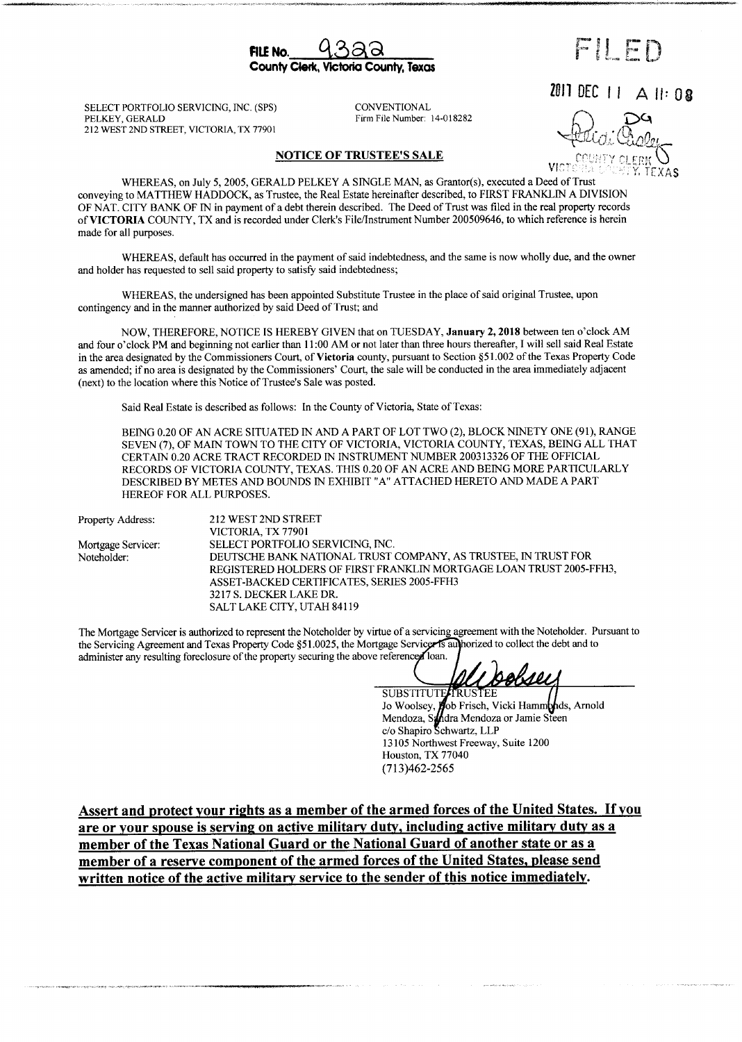FILE No.  $9322$ County Ciek, Victoria County,Texas

FILED

2011 DEC  $|| \triangle ||$ : 0.8

SELECT PORTFOLIO SERVICING, INC. (SPS) CONVENTIONAL PELKEY, GERALD FIGURE 212 WEST 2ND STREET, VICTORIA, TX 77901

Firm File Number: 14-018282

NOTICE OF TRUSTEE'S SALE

## lerk, Y. TEXAS

WHEREAS, on July 5, 2005, GERALD PELKEY A SINGLE MAN, as Grantor(s), executed a Deed of Trust conveying to MATTHEW HADDOCK, as Trustee, the Real Estate hereinafter described, to FIRST FRANKLIN A DIVISION OF NAT. CITY BANK OF IN in payment of a debt therein described. The Deed of Trust was filed in the real property records of VICTORIA COUNTY, TX and is recorded under Clerk's File/Instrument Number 200509646, to which reference is herein made for all purposes.

WHEREAS, default has occurred in the payment of said indebtedness, and the same is now wholly due, and the owner and holder has requested to sell said property to satisfy said indebtedness;

WHEREAS, the undersigned has been appointed Substitute Trustee in the place of said original Trustee, upon contingency and in the manner authorized by said Deed of Trust; and

NOW, THEREFORE, NOTICE IS HEREBY GIVEN that on TUESDAY, January 2, 2018 between ten o'clock AM and four o'clock PM and beginning not earlier than 11:00 AM or not later than three hours thereafter, I will sell said Real Estate in the area designated by the Commissioners Court, of Victoria county, pursuant to Section§ 51. 002 of the Texas Property Code as amended; if no area is designated by the Commissioners' Court, the sale will be conducted in the area immediately adjacent (next) to the location where this Notice of Trustee's Sale was posted.

Said Real Estate is described as follows: In the County of Victoria, State of Texas:

BEING 0.20 OF AN ACRE SITUATED IN AND A PART OF LOT TWO (2), BLOCK NINETY ONE (91), RANGE SEVEN( 7), OF MAIN TOWN TO THE CITY OF VICTORIA, VICTORIA COUNTY, TEXAS, BEING ALL THAT CERTAIN 0.20 ACRE TRACT RECORDED IN INSTRUMENT NUMBER 200313326 OF THE OFFICIAL RECORDS OF VICTORIA COUNTY, TEXAS. THIS 0.20 OF AN ACRE AND BEING MORE PARTICULARLY DESCRIBED BY METES AND BOUNDS IN EXHIBIT" A" ATTACHED HERETO AND MADE A PART HEREOF FOR ALL PURPOSES.

| 212 WEST 2ND STREET                                                                                                                           |                            |
|-----------------------------------------------------------------------------------------------------------------------------------------------|----------------------------|
| VICTORIA, TX 77901                                                                                                                            |                            |
| SELECT PORTFOLIO SERVICING, INC.                                                                                                              |                            |
| DEUTSCHE BANK NATIONAL TRUST COMPANY, AS TRUSTEE, IN TRUST FOR                                                                                |                            |
| REGISTERED HOLDERS OF FIRST FRANKLIN MORTGAGE LOAN TRUST 2005-FFH3,<br>ASSET-BACKED CERTIFICATES, SERIES 2005-FFH3<br>3217 S. DECKER LAKE DR. |                            |
|                                                                                                                                               | SALT LAKE CITY, UTAH 84119 |
|                                                                                                                                               |                            |

The Mortgage Servicer is authorized to represent the Noteholder by virtue of a servicing agreement with the Noteholder. Pursuant to the Servicing Agreement and Texas Property Code §51.0025, the Mortgage Servicer is authorized to collect the debt and to administer any resulting foreclosure of the property securing the above referenced loan.

<u>bobser</u>

SUBSTITUTE TRUSTEE Jo Woolsey, **po**b Frisch, Vicki Hammonds, Arnold Mendoza, Sandra Mendoza or Jamie Steer c/o Shapiro Schwartz, LLF 13105 Northwest Freeway, Suite 1200 Houston, TX 77040 713) 462-2565

Assert and protect your rights as <sup>a</sup> member of the armed forces of the United States. If you are or your spouse is serving on active military duty, including active military duty as a member of the Texas National Guard or the National Guard of another state or as <sup>a</sup> member of a reserve component of the armed forces of the United States, please send written notice of the active military service to the sender of this notice immediately.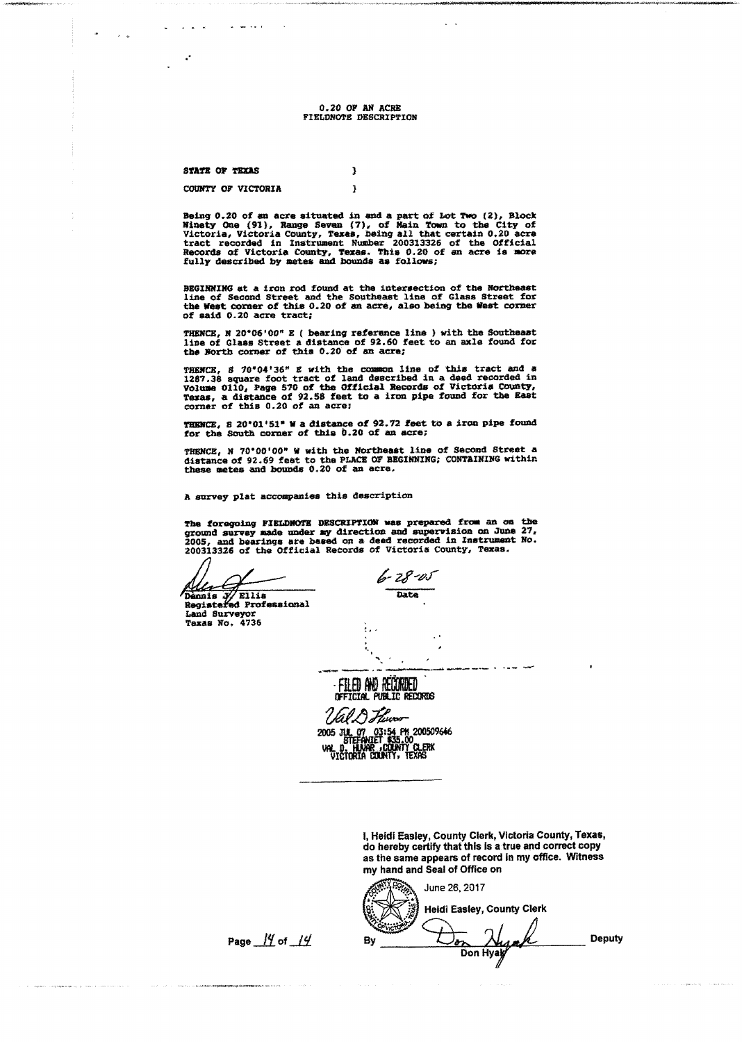0. 20 OF AN ACRE FIELDNOTE DESCRIPTION

> $\overline{\mathbf{3}}$  $\mathbf{\hat{I}}$

STATE OP TEXAS

COUNTY OF VICTORIA

المتعاطف التار

Being 0.20 of an acre situated in and a part of Lot Two (2), Block<br>Minety One (91), Range Seven (7), of Main Town to the City of<br>Victoria, Victoria County, Texas, being all that certain 0.20 acre<br>tract recorded in Instrume Records of Victoria County, Texas. This 0. 20 of an acre is more fully described by metes and bounds as follows;

BEGINNING at a iron rod found at the intersection of the Northeast line of Second Street and the Southeast line of Glass Street for the West corner of this 0. <sup>20</sup> of an acre, also being the West corner of said 0. <sup>20</sup> acre tract;

THENCE, N 20°06'00" E ( bearing reference line ) with the Southeast<br>line of Glass Street a distance of 92.60 feet to an axle found for<br>the North corner of this 0.20 of an acre;

THENCE, S 70°04'36" E with the common line of this tract and a 1287.38 square foot tract of land described in a deed recorded in Texas, a distance of 92.58 feet to a iron pipe found for the East corner of this 0.20 of an a

THENCE, S 20'01'51" W a distance of 92.72 feet to a iron pipe found<br>for the South corner of this 0.20 of an acre;

THENCE, N 70° 00' 00" W with the Northeast line of Second Street a distance of 92. <sup>69</sup> feet to the PLACE OF BEGINNING; CONTAINING within these metes and bawds 0. 20 of an acre,

<sup>A</sup> survey plat accompanies this description

The foregoing FIELD/40TE DESCRIPTION was prepared from an on the ground survey made under my direction and supervision on June 27, 2005, and bearings are based on a deed recorded in Instrument No. <sup>200313326</sup> of the Official Records of Victoria County, Texas.

Dennis / Ellis Date Regist ed Professional Land Surveyor Texas No. 4736

6-28-05

: FILED AND REDORDED<br>OFFICIAL PUBLIC RECORDS

2005 JUL 07 03:54 PR 200509646 V. D., HUVAR JUJUNIT CLEXX<br>VICTORIA COUNTY, TEXAS

> I, Heidi Easley, County Clerk, Victoria County, Texas, do hereby certify that this is a true and correct copy as the same appears of record in my office. Witness my hand and Seal of Office on

June 26, 2017  $\rightarrow$ f Heidi Easley, County Clerk ok cam`'' Page  $\frac{14}{14}$  by  $\overline{\bigcup_{\partial \chi} \bigcup_{\partial \chi} \chi}$  Deputy  $\frac{\lambda}{2}$ Don Hyay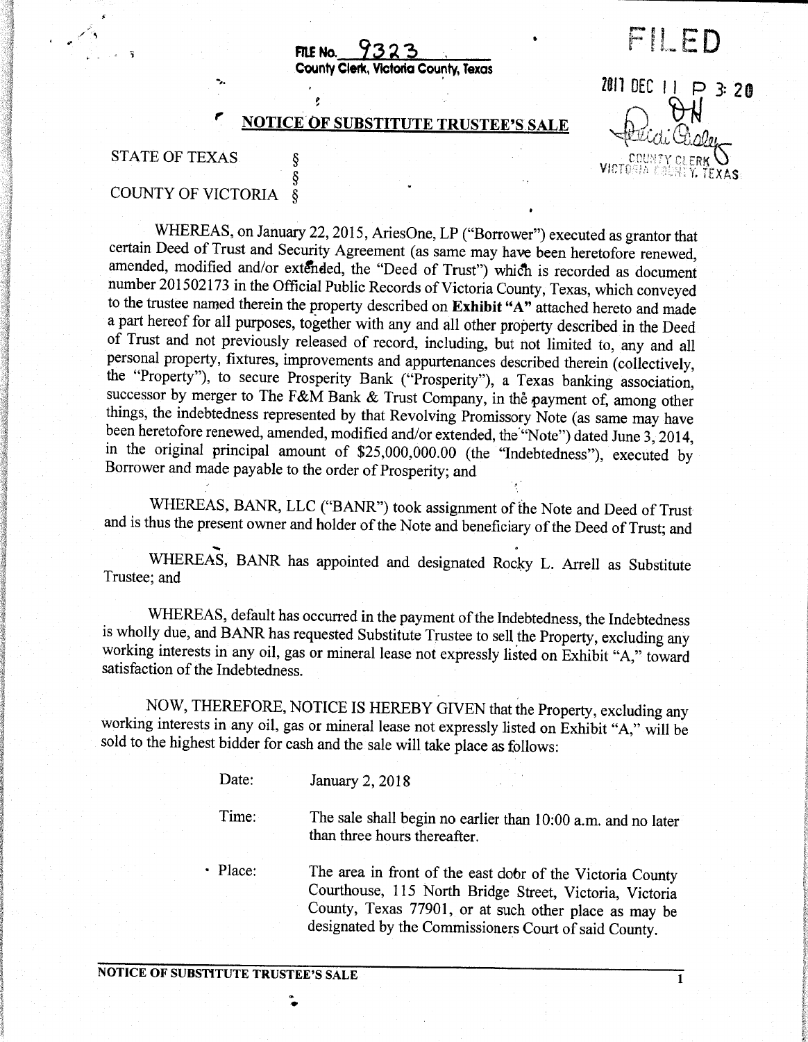FILE No.  $9323$ 

### County Clerk, Victoria County, Texas

#### r **NOTICE OF SUBSTITUTE TRUSTEE'S SALE**

Ŝ

# STATE OF TEXAS  $\begin{array}{ccc} \S & \S & \text{VICTOGHA CGLRK} \ \S & S & \text{VICTOGHA CGLRITY CLERAS} \end{array}$

in the control

### COUNTY OF VICTORIA §

WHEREAS, on January 22, 2015, AriesOne, LP ("Borrower") executed as grantor that certain Deed of Trust and Security Agreement ( as same may have been heretofore renewed, amended, modified and/or extended, the "Deed of Trust") which is recorded as document number 201502173 in the Official Public Records of Victoria County, Texas, which conveyed to the trustee named therein the property described on Exhibit "A" attached hereto and made <sup>a</sup> part hereof for all purposes, together with any and all other property described in the Deed of Trust and not previously released of record, including, but not limited to, any and all personal property, fixtures, improvements and appurtenances described therein (collectively, the "Property"), to secure Prosperity Bank ("Prosperity"), a Texas banking association, successor by merger to The F&M Bank & Trust Company, in the payment of, among other things, the indebtedness represented by that Revolving Promissory Note (as same may have been heretofore renewed, amended, modified and/or extended, the "Note") dated June 3, 2014, in the original principal amount of \$25,000,000.00 (the "Indebtedness"), executed by Borrower and made payable to the order of Prosperity; and

WHEREAS, BANR, LLC ("BANR") took assignment of the Note and Deed of Trust and is thus the present owner and holder of the Note and beneficiary of the Deed of Trust; and

WHEREAS, BANR has appointed and designated Rocky L. Arrell as Substitute Trustee; and

WHEREAS, default has occurred in the payment of the Indebtedness, the Indebtedness is wholly due, and BANR has requested Substitute Trustee to sell the Property, excluding any working interests in any oil, gas or mineral lease not expressly listed on Exhibit "A," toward satisfaction of the Indebtedness.

NOW, THEREFORE, NOTICE IS HEREBY GIVEN that the Property, excluding any working interests in any oil, gas or mineral lease not expressly listed on Exhibit "A," will be sold to the highest bidder for cash and the sale will take place as follows:

> Date: January 2, 2018 Time: The sale shall begin no earlier than 10:00 a.m. and no later than three hours thereafter. Place: The area in front of the east door of the Victoria County Courthouse, 115 North Bridge Street, Victoria, Victoria County, Texas 77901, or at such other place as may be

designated by the Commissioners Court of said County.

 $\ddot{\bullet}$ 

Y

2011 DEC 11 P 3:20

FII FN

ti

ti Clisle

p

لمسب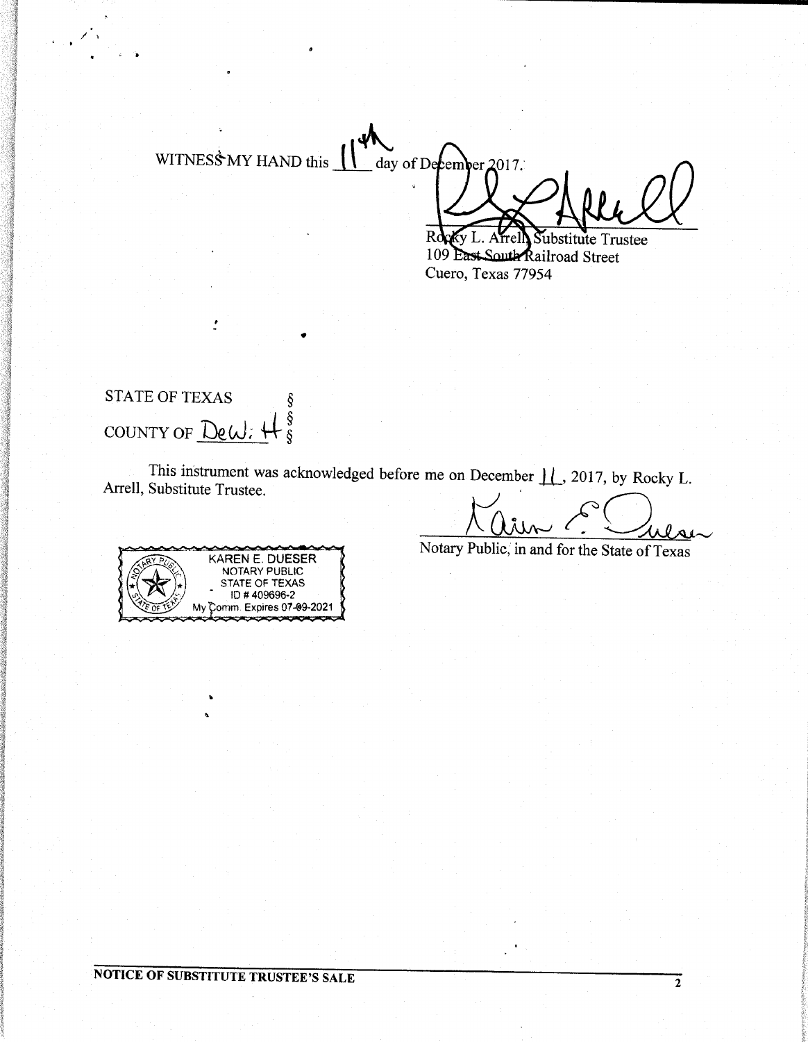WITNESS MY HAND this  $_$  day of December 2017.

Rd bstitute Trustee 109 East South Railroad Street Cuero, Texas 77954

## **STATE OF TEXAS**  $\frac{8}{8}$ COUNTY OF DeW:

This instrument was acknowledged before me on December 11, 2017, by Rocky L. Arrell, Substitute Trustee.